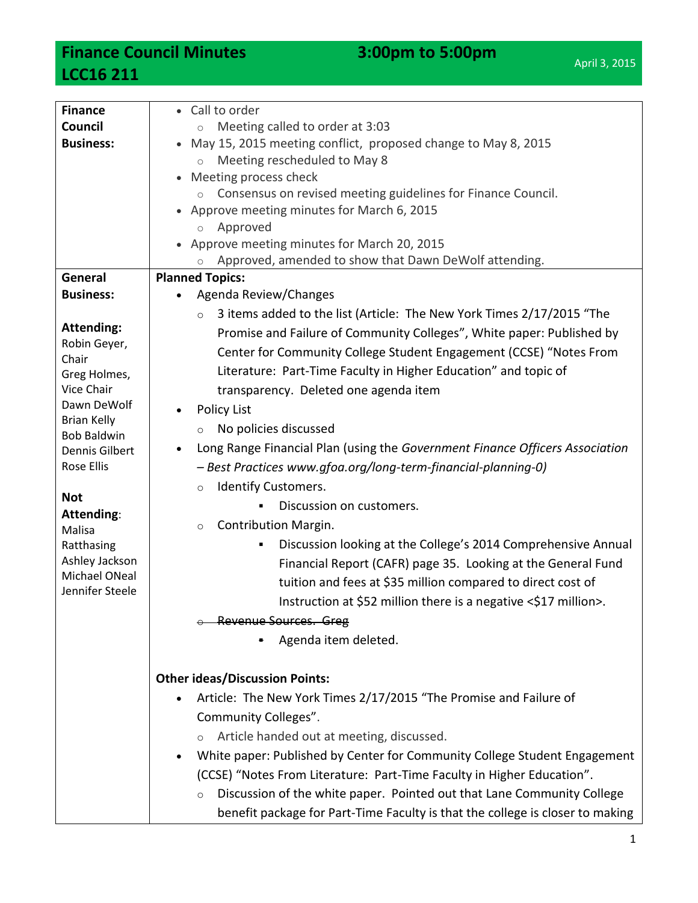**Finance Council Minutes 3:00pm to 5:00pm LCC16 211**

| <b>Finance</b>                      | • Call to order                                                                   |
|-------------------------------------|-----------------------------------------------------------------------------------|
| Council                             | Meeting called to order at 3:03<br>$\circ$                                        |
| <b>Business:</b>                    | May 15, 2015 meeting conflict, proposed change to May 8, 2015<br>$\bullet$        |
|                                     | Meeting rescheduled to May 8<br>$\circ$                                           |
|                                     | Meeting process check<br>$\bullet$                                                |
|                                     | Consensus on revised meeting guidelines for Finance Council.<br>$\circ$           |
|                                     | Approve meeting minutes for March 6, 2015                                         |
|                                     | Approved<br>$\circ$                                                               |
|                                     | Approve meeting minutes for March 20, 2015                                        |
|                                     | Approved, amended to show that Dawn DeWolf attending.<br>$\circ$                  |
| General                             | <b>Planned Topics:</b>                                                            |
| <b>Business:</b>                    | Agenda Review/Changes<br>$\bullet$                                                |
|                                     | 3 items added to the list (Article: The New York Times 2/17/2015 "The<br>$\circ$  |
| <b>Attending:</b>                   | Promise and Failure of Community Colleges", White paper: Published by             |
| Robin Geyer,<br>Chair               | Center for Community College Student Engagement (CCSE) "Notes From                |
| Greg Holmes,                        | Literature: Part-Time Faculty in Higher Education" and topic of                   |
| Vice Chair                          | transparency. Deleted one agenda item                                             |
| Dawn DeWolf                         | <b>Policy List</b>                                                                |
| <b>Brian Kelly</b>                  | No policies discussed<br>$\circ$                                                  |
| <b>Bob Baldwin</b>                  | Long Range Financial Plan (using the Government Finance Officers Association      |
| Dennis Gilbert<br><b>Rose Ellis</b> |                                                                                   |
|                                     | - Best Practices www.gfoa.org/long-term-financial-planning-0)                     |
| <b>Not</b>                          | <b>Identify Customers.</b><br>$\circ$                                             |
| Attending:                          | Discussion on customers.                                                          |
| Malisa                              | Contribution Margin.<br>$\circ$                                                   |
| Ratthasing                          | Discussion looking at the College's 2014 Comprehensive Annual<br>٠                |
| Ashley Jackson                      | Financial Report (CAFR) page 35. Looking at the General Fund                      |
| Michael ONeal                       | tuition and fees at \$35 million compared to direct cost of                       |
| Jennifer Steele                     | Instruction at \$52 million there is a negative <\$17 million>                    |
|                                     | <b>Revenue Sources. Greg</b>                                                      |
|                                     | Agenda item deleted.                                                              |
|                                     |                                                                                   |
|                                     | <b>Other ideas/Discussion Points:</b>                                             |
|                                     |                                                                                   |
|                                     | Article: The New York Times 2/17/2015 "The Promise and Failure of                 |
|                                     | Community Colleges".                                                              |
|                                     | Article handed out at meeting, discussed.                                         |
|                                     | White paper: Published by Center for Community College Student Engagement         |
|                                     | (CCSE) "Notes From Literature: Part-Time Faculty in Higher Education".            |
|                                     | Discussion of the white paper. Pointed out that Lane Community College<br>$\circ$ |
|                                     | benefit package for Part-Time Faculty is that the college is closer to making     |